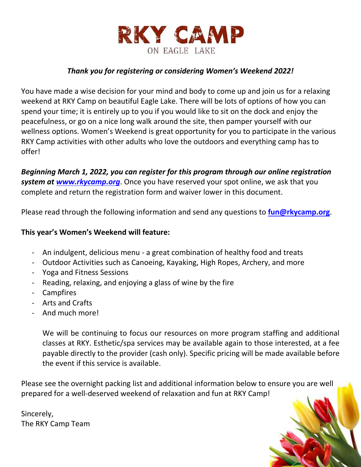

### *Thank you for registering or considering Women's Weekend 2022!*

You have made a wise decision for your mind and body to come up and join us for a relaxing weekend at RKY Camp on beautiful Eagle Lake. There will be lots of options of how you can spend your time; it is entirely up to you if you would like to sit on the dock and enjoy the peacefulness, or go on a nice long walk around the site, then pamper yourself with our wellness options. Women's Weekend is great opportunity for you to participate in the various RKY Camp activities with other adults who love the outdoors and everything camp has to offer!

*Beginning March 1, 2022, you can register for this program through our online registration system at [www.rkycamp.org](http://www.rkycamp.org/)*. Once you have reserved your spot online, we ask that you complete and return the registration form and waiver lower in this document.

Please read through the following information and send any questions to **[fun@rkycamp.org](mailto:fun@rkycamp.org)**.

### **This year's Women's Weekend will feature:**

- An indulgent, delicious menu a great combination of healthy food and treats
- Outdoor Activities such as Canoeing, Kayaking, High Ropes, Archery, and more
- Yoga and Fitness Sessions
- Reading, relaxing, and enjoying a glass of wine by the fire
- Campfires
- Arts and Crafts
- And much more!

We will be continuing to focus our resources on more program staffing and additional classes at RKY. Esthetic/spa services may be available again to those interested, at a fee payable directly to the provider (cash only). Specific pricing will be made available before the event if this service is available.

Please see the overnight packing list and additional information below to ensure you are well prepared for a well-deserved weekend of relaxation and fun at RKY Camp!

Sincerely, The RKY Camp Team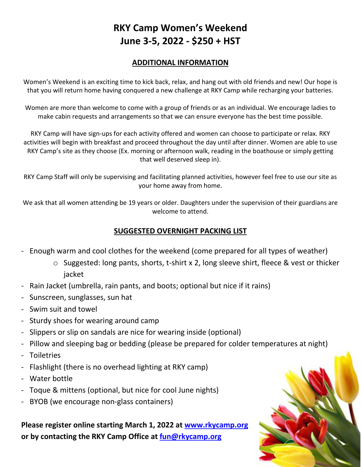# **RKY Camp Women's Weekend June 3-5, 2022 - \$250 + HST**

### **ADDITIONAL INFORMATION**

Women's Weekend is an exciting time to kick back, relax, and hang out with old friends and new! Our hope is that you will return home having conquered a new challenge at RKY Camp while recharging your batteries.

Women are more than welcome to come with a group of friends or as an individual. We encourage ladies to make cabin requests and arrangements so that we can ensure everyone has the best time possible.

RKY Camp will have sign-ups for each activity offered and women can choose to participate or relax. RKY activities will begin with breakfast and proceed throughout the day until after dinner. Women are able to use RKY Camp's site as they choose (Ex. morning or afternoon walk, reading in the boathouse or simply getting that well deserved sleep in).

RKY Camp Staff will only be supervising and facilitating planned activities, however feel free to use our site as your home away from home.

We ask that all women attending be 19 years or older. Daughters under the supervision of their guardians are welcome to attend.

### **SUGGESTED OVERNIGHT PACKING LIST**

- Enough warm and cool clothes for the weekend (come prepared for all types of weather)
	- o Suggested: long pants, shorts, t-shirt x 2, long sleeve shirt, fleece & vest or thicker jacket
- Rain Jacket (umbrella, rain pants, and boots; optional but nice if it rains)
- Sunscreen, sunglasses, sun hat
- Swim suit and towel
- Sturdy shoes for wearing around camp
- Slippers or slip on sandals are nice for wearing inside (optional)
- Pillow and sleeping bag or bedding (please be prepared for colder temperatures at night)
- Toiletries
- Flashlight (there is no overhead lighting at RKY camp)
- Water bottle
- Toque & mittens (optional, but nice for cool June nights)
- BYOB (we encourage non-glass containers)

**Please register online starting March 1, 2022 at [www.rkycamp.org](http://www.rkycamp.org/) or by contacting the RKY Camp Office at [fun@rkycamp.org](mailto:fun@rkycamp.org)**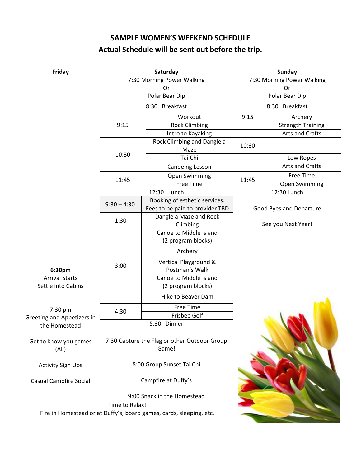# **SAMPLE WOMEN'S WEEKEND SCHEDULE Actual Schedule will be sent out before the trip.**

| Friday                         |                | Saturday                                                            | <b>Sunday</b>              |                          |  |
|--------------------------------|----------------|---------------------------------------------------------------------|----------------------------|--------------------------|--|
|                                |                | 7:30 Morning Power Walking                                          | 7:30 Morning Power Walking |                          |  |
|                                |                | Or                                                                  | Or                         |                          |  |
|                                |                | Polar Bear Dip                                                      |                            | Polar Bear Dip           |  |
|                                | 8:30 Breakfast |                                                                     | 8:30 Breakfast             |                          |  |
|                                |                | Workout                                                             | 9:15                       | Archery                  |  |
|                                | 9:15           | <b>Rock Climbing</b>                                                |                            | <b>Strength Training</b> |  |
|                                |                | Intro to Kayaking                                                   |                            | Arts and Crafts          |  |
|                                |                | Rock Climbing and Dangle a<br>Maze                                  | 10:30                      |                          |  |
|                                | 10:30          | Tai Chi                                                             |                            | Low Ropes                |  |
|                                |                | Canoeing Lesson                                                     |                            | Arts and Crafts          |  |
|                                |                | Open Swimming                                                       |                            | Free Time                |  |
|                                | 11:45          | <b>Free Time</b>                                                    | 11:45                      | Open Swimming            |  |
|                                |                | 12:30 Lunch                                                         | 12:30 Lunch                |                          |  |
|                                | $9:30 - 4:30$  | Booking of esthetic services.                                       |                            |                          |  |
|                                |                | Fees to be paid to provider TBD                                     |                            | Good Byes and Departure  |  |
|                                | 1:30           | Dangle a Maze and Rock                                              | See you Next Year!         |                          |  |
|                                |                | Climbing<br>Canoe to Middle Island                                  |                            |                          |  |
|                                |                | (2 program blocks)                                                  |                            |                          |  |
|                                |                | Archery                                                             |                            |                          |  |
| 6:30pm                         | 3:00           | Vertical Playground &<br>Postman's Walk                             |                            |                          |  |
| <b>Arrival Starts</b>          |                | Canoe to Middle Island                                              |                            |                          |  |
| Settle into Cabins             |                | (2 program blocks)                                                  |                            |                          |  |
|                                |                | Hike to Beaver Dam                                                  |                            |                          |  |
| 7:30 pm                        |                | Free Time                                                           |                            |                          |  |
| Greeting and Appetizers in     | 4:30           | Frisbee Golf                                                        |                            |                          |  |
| the Homestead                  |                | 5:30 Dinner                                                         |                            |                          |  |
| Get to know you games<br>(A  ) |                | 7:30 Capture the Flag or other Outdoor Group<br>Game!               |                            |                          |  |
| <b>Activity Sign Ups</b>       |                | 8:00 Group Sunset Tai Chi                                           |                            |                          |  |
| <b>Casual Campfire Social</b>  |                | Campfire at Duffy's                                                 |                            |                          |  |
|                                | Time to Relax! | 9:00 Snack in the Homestead                                         |                            |                          |  |
|                                |                |                                                                     |                            |                          |  |
|                                |                | Fire in Homestead or at Duffy's, board games, cards, sleeping, etc. |                            |                          |  |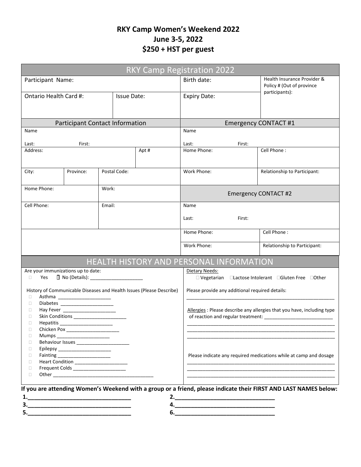# **RKY Camp Women's Weekend 2022 June 3-5, 2022 \$250 + HST per guest**

| <b>RKY Camp Registration 2022</b>                                                                                |                                         |                             |                    |             |                                                                                               |                                                                   |  |  |  |
|------------------------------------------------------------------------------------------------------------------|-----------------------------------------|-----------------------------|--------------------|-------------|-----------------------------------------------------------------------------------------------|-------------------------------------------------------------------|--|--|--|
| Participant Name:                                                                                                |                                         |                             |                    | Birth date: | Health Insurance Provider &<br>Policy # (Out of province                                      |                                                                   |  |  |  |
| Ontario Health Card #:                                                                                           |                                         |                             | <b>Issue Date:</b> |             | <b>Expiry Date:</b>                                                                           | participants):                                                    |  |  |  |
|                                                                                                                  |                                         |                             |                    |             |                                                                                               |                                                                   |  |  |  |
| <b>Participant Contact Information</b>                                                                           |                                         |                             |                    |             | <b>Emergency CONTACT #1</b>                                                                   |                                                                   |  |  |  |
| Name                                                                                                             |                                         |                             |                    |             | Name                                                                                          |                                                                   |  |  |  |
| Last:<br>First:                                                                                                  |                                         |                             |                    |             | Last:<br>First:                                                                               |                                                                   |  |  |  |
| Address:                                                                                                         |                                         |                             | Apt #              | Home Phone: | Cell Phone:                                                                                   |                                                                   |  |  |  |
| City:                                                                                                            | Province:                               | Postal Code:                |                    |             | Work Phone:                                                                                   | Relationship to Participant:                                      |  |  |  |
| Home Phone:<br>Work:                                                                                             |                                         | <b>Emergency CONTACT #2</b> |                    |             |                                                                                               |                                                                   |  |  |  |
| Cell Phone:                                                                                                      |                                         |                             | Email:             |             | Name                                                                                          |                                                                   |  |  |  |
|                                                                                                                  |                                         | First:<br>Last:             |                    |             |                                                                                               |                                                                   |  |  |  |
|                                                                                                                  |                                         |                             |                    | Home Phone: | Cell Phone:                                                                                   |                                                                   |  |  |  |
|                                                                                                                  |                                         |                             |                    | Work Phone: | Relationship to Participant:                                                                  |                                                                   |  |  |  |
|                                                                                                                  | HEALTH HISTORY AND PERSONAL INFORMATION |                             |                    |             |                                                                                               |                                                                   |  |  |  |
| Are your immunizations up to date:<br>Yes<br>0                                                                   |                                         |                             |                    |             | Dietary Needs:<br>$\Box$ Vegetarian $\Box$ Lactose Intolerant $\Box$ Gluten Free $\Box$ Other |                                                                   |  |  |  |
| History of Communicable Diseases and Health Issues (Please Describe)<br>0                                        |                                         |                             |                    |             | Please provide any additional required details:                                               |                                                                   |  |  |  |
| Ω<br>Ω<br>□                                                                                                      |                                         |                             |                    |             | Allergies : Please describe any allergies that you have, including type                       |                                                                   |  |  |  |
| $\Box$<br>Hepatitis _____________________<br>о                                                                   |                                         |                             |                    |             |                                                                                               |                                                                   |  |  |  |
| □<br>Mumps<br>□                                                                                                  |                                         |                             |                    |             |                                                                                               |                                                                   |  |  |  |
| □<br>Epilepsy ________________________                                                                           |                                         |                             |                    |             |                                                                                               |                                                                   |  |  |  |
| Fainting ________________________<br>O<br>Heart Condition ________________________<br>$\Box$                     |                                         |                             |                    |             |                                                                                               | Please indicate any required medications while at camp and dosage |  |  |  |
| Frequent Colds ______________________<br>$\Box$                                                                  |                                         |                             |                    |             |                                                                                               |                                                                   |  |  |  |
| $\Box$                                                                                                           |                                         |                             |                    |             |                                                                                               |                                                                   |  |  |  |
| If you are attending Women's Weekend with a group or a friend, please indicate their FIRST AND LAST NAMES below: |                                         |                             |                    |             |                                                                                               |                                                                   |  |  |  |
|                                                                                                                  |                                         |                             |                    |             |                                                                                               |                                                                   |  |  |  |
| 3.                                                                                                               |                                         |                             |                    |             |                                                                                               |                                                                   |  |  |  |
| 5.                                                                                                               |                                         |                             |                    |             |                                                                                               |                                                                   |  |  |  |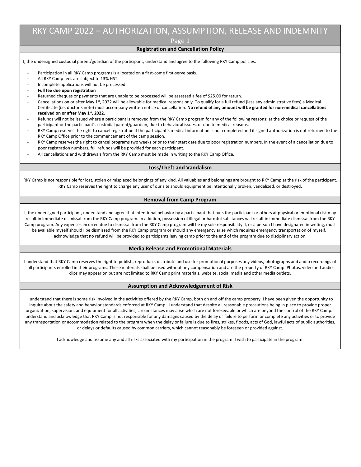# RKY CAMP 2022 – AUTHORIZATION, ASSUMPTION, RELEASE AND INDEMNITY

Page 1

#### **Registration and Cancellation Policy**

I, the undersigned custodial parent/guardian of the participant, understand and agree to the following RKY Camp policies:

- Participation in all RKY Camp programs is allocated on a first-come first-serve basis.
- All RKY Camp fees are subject to 13% HST.
- Incomplete applications will not be processed.
- **Full fee due upon registration**
- Returned cheques or payments that are unable to be processed will be assessed a fee of \$25.00 for return.
- Cancellations on or after May 1st, 2022 will be allowable for medical reasons only. To qualify for a full refund (less any administrative fees) a Medical Certificate (i.e. doctor's note) must accompany written notice of cancellation. **No refund of any amount will be granted for non-medical cancellations received on or after May 1st , 2022.**
- Refunds will not be issued where a participant is removed from the RKY Camp program for any of the following reasons: at the choice or request of the participant or the participant's custodial parent/guardian, due to behavioral issues, or due to medical reasons.
- RKY Camp reserves the right to cancel registration if the participant's medical information is not completed and if signed authorization is not returned to the RKY Camp Office prior to the commencement of the camp session.
- RKY Camp reserves the right to cancel programs two weeks prior to their start date due to poor registration numbers. In the event of a cancellation due to poor registration numbers, full refunds will be provided for each participant.
- All cancellations and withdrawals from the RKY Camp must be made in writing to the RKY Camp Office.

#### **Loss/Theft and Vandalism**

RKY Camp is not responsible for lost, stolen or misplaced belongings of any kind. All valuables and belongings are brought to RKY Camp at the risk of the participant. RKY Camp reserves the right to charge any user of our site should equipment be intentionally broken, vandalized, or destroyed.

#### **Removal from Camp Program**

I, the undersigned participant, understand and agree that intentional behavior by a participant that puts the participant or others at physical or emotional risk may result in immediate dismissal from the RKY Camp program. In addition, possession of illegal or harmful substances will result in immediate dismissal from the RKY Camp program. Any expenses incurred due to dismissal from the RKY Camp program will be my sole responsibility. I, or a person I have designated in writing, must be available myself should I be dismissed from the RKY Camp program or should any emergency arise which requires emergency transportation of myself. I acknowledge that no refund will be provided to participants leaving camp prior to the end of the program due to disciplinary action.

#### **Media Release and Promotional Materials**

I understand that RKY Camp reserves the right to publish, reproduce, distribute and use for promotional purposes any videos, photographs and audio recordings of all participants enrolled in their programs. These materials shall be used without any compensation and are the property of RKY Camp. Photos, video and audio clips may appear on but are not limited to RKY Camp print materials, website, social media and other media outlets.

#### **Assumption and Acknowledgement of Risk**

I understand that there is some risk involved in the activities offered by the RKY Camp, both on and off the camp property. I have been given the opportunity to inquire about the safety and behavior standards enforced at RKY Camp. I understand that despite all reasonable precautions being in place to provide proper organization, supervision, and equipment for all activities, circumstances may arise which are not foreseeable or which are beyond the control of the RKY Camp. I understand and acknowledge that RKY Camp is not responsible for any damages caused by the delay or failure to perform or complete any activities or to provide any transportation or accommodation related to the program when the delay or failure is due to fires, strikes, floods, acts of God, lawful acts of public authorities, or delays or defaults caused by common carriers, which cannot reasonably be foreseen or provided against.

I acknowledge and assume any and all risks associated with my participation in the program. I wish to participate in the program.